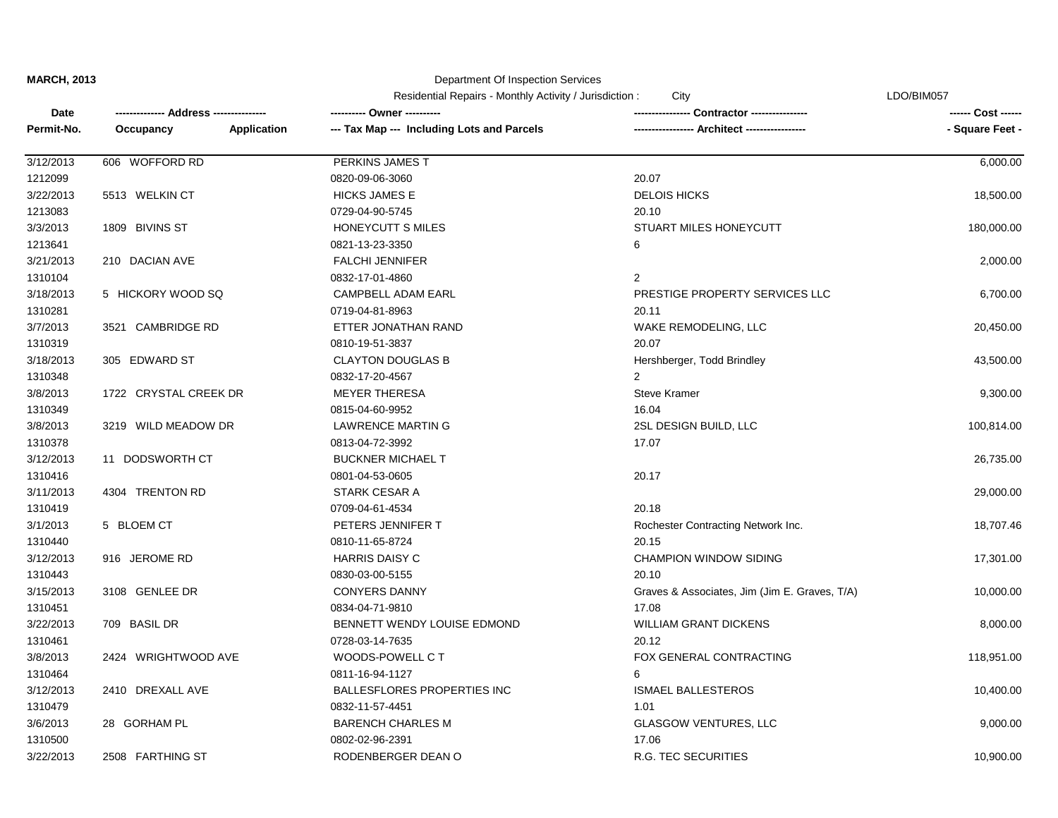Department Of Inspection Services

|            | Address ----          |             | LDO/BIM057<br>Residential Repairs - Monthly Activity / Jurisdiction :<br>City |                                               |                 |
|------------|-----------------------|-------------|-------------------------------------------------------------------------------|-----------------------------------------------|-----------------|
| Date       |                       |             |                                                                               | Contractor ----------                         |                 |
| Permit-No. | Occupancy             | Application | --- Tax Map --- Including Lots and Parcels                                    | - Architect ----------------                  | - Square Feet - |
| 3/12/2013  | 606 WOFFORD RD        |             | PERKINS JAMES T                                                               |                                               | 6,000.00        |
| 1212099    |                       |             | 0820-09-06-3060                                                               | 20.07                                         |                 |
| 3/22/2013  | 5513 WELKIN CT        |             | <b>HICKS JAMES E</b>                                                          | <b>DELOIS HICKS</b>                           | 18,500.00       |
| 1213083    |                       |             | 0729-04-90-5745                                                               | 20.10                                         |                 |
| 3/3/2013   | 1809 BIVINS ST        |             | HONEYCUTT S MILES                                                             | STUART MILES HONEYCUTT                        | 180,000.00      |
| 1213641    |                       |             | 0821-13-23-3350                                                               | 6                                             |                 |
| 3/21/2013  | 210 DACIAN AVE        |             | <b>FALCHI JENNIFER</b>                                                        |                                               | 2,000.00        |
| 1310104    |                       |             | 0832-17-01-4860                                                               | $\overline{2}$                                |                 |
| 3/18/2013  | 5 HICKORY WOOD SQ     |             | CAMPBELL ADAM EARL                                                            | PRESTIGE PROPERTY SERVICES LLC                | 6,700.00        |
| 1310281    |                       |             | 0719-04-81-8963                                                               | 20.11                                         |                 |
| 3/7/2013   | 3521 CAMBRIDGE RD     |             | ETTER JONATHAN RAND                                                           | WAKE REMODELING, LLC                          | 20,450.00       |
| 1310319    |                       |             | 0810-19-51-3837                                                               | 20.07                                         |                 |
| 3/18/2013  | 305 EDWARD ST         |             | <b>CLAYTON DOUGLAS B</b>                                                      | Hershberger, Todd Brindley                    | 43,500.00       |
| 1310348    |                       |             | 0832-17-20-4567                                                               | 2                                             |                 |
| 3/8/2013   | 1722 CRYSTAL CREEK DR |             | <b>MEYER THERESA</b>                                                          | <b>Steve Kramer</b>                           | 9,300.00        |
| 1310349    |                       |             | 0815-04-60-9952                                                               | 16.04                                         |                 |
| 3/8/2013   | 3219 WILD MEADOW DR   |             | <b>LAWRENCE MARTIN G</b>                                                      | 2SL DESIGN BUILD, LLC                         | 100,814.00      |
| 1310378    |                       |             | 0813-04-72-3992                                                               | 17.07                                         |                 |
| 3/12/2013  | 11 DODSWORTH CT       |             | <b>BUCKNER MICHAEL T</b>                                                      |                                               | 26,735.00       |
| 1310416    |                       |             | 0801-04-53-0605                                                               | 20.17                                         |                 |
| 3/11/2013  | 4304 TRENTON RD       |             | <b>STARK CESAR A</b>                                                          |                                               | 29,000.00       |
| 1310419    |                       |             | 0709-04-61-4534                                                               | 20.18                                         |                 |
| 3/1/2013   | 5 BLOEM CT            |             | PETERS JENNIFER T                                                             | Rochester Contracting Network Inc.            | 18,707.46       |
| 1310440    |                       |             | 0810-11-65-8724                                                               | 20.15                                         |                 |
| 3/12/2013  | 916 JEROME RD         |             | <b>HARRIS DAISY C</b>                                                         | <b>CHAMPION WINDOW SIDING</b>                 | 17,301.00       |
| 1310443    |                       |             | 0830-03-00-5155                                                               | 20.10                                         |                 |
| 3/15/2013  | 3108 GENLEE DR        |             | <b>CONYERS DANNY</b>                                                          | Graves & Associates, Jim (Jim E. Graves, T/A) | 10,000.00       |
| 1310451    |                       |             | 0834-04-71-9810                                                               | 17.08                                         |                 |
| 3/22/2013  | 709 BASIL DR          |             | BENNETT WENDY LOUISE EDMOND                                                   | <b>WILLIAM GRANT DICKENS</b>                  | 8,000.00        |
| 1310461    |                       |             | 0728-03-14-7635                                                               | 20.12                                         |                 |
| 3/8/2013   | 2424 WRIGHTWOOD AVE   |             | WOODS-POWELL CT                                                               | FOX GENERAL CONTRACTING                       | 118,951.00      |
| 1310464    |                       |             | 0811-16-94-1127                                                               | 6                                             |                 |
| 3/12/2013  | 2410 DREXALL AVE      |             | <b>BALLESFLORES PROPERTIES INC</b>                                            | <b>ISMAEL BALLESTEROS</b>                     | 10,400.00       |
| 1310479    |                       |             | 0832-11-57-4451                                                               | 1.01                                          |                 |
| 3/6/2013   | 28 GORHAM PL          |             | <b>BARENCH CHARLES M</b>                                                      | <b>GLASGOW VENTURES, LLC</b>                  | 9,000.00        |
| 1310500    |                       |             | 0802-02-96-2391                                                               | 17.06                                         |                 |
| 3/22/2013  | 2508 FARTHING ST      |             | RODENBERGER DEAN O                                                            | <b>R.G. TEC SECURITIES</b>                    | 10,900.00       |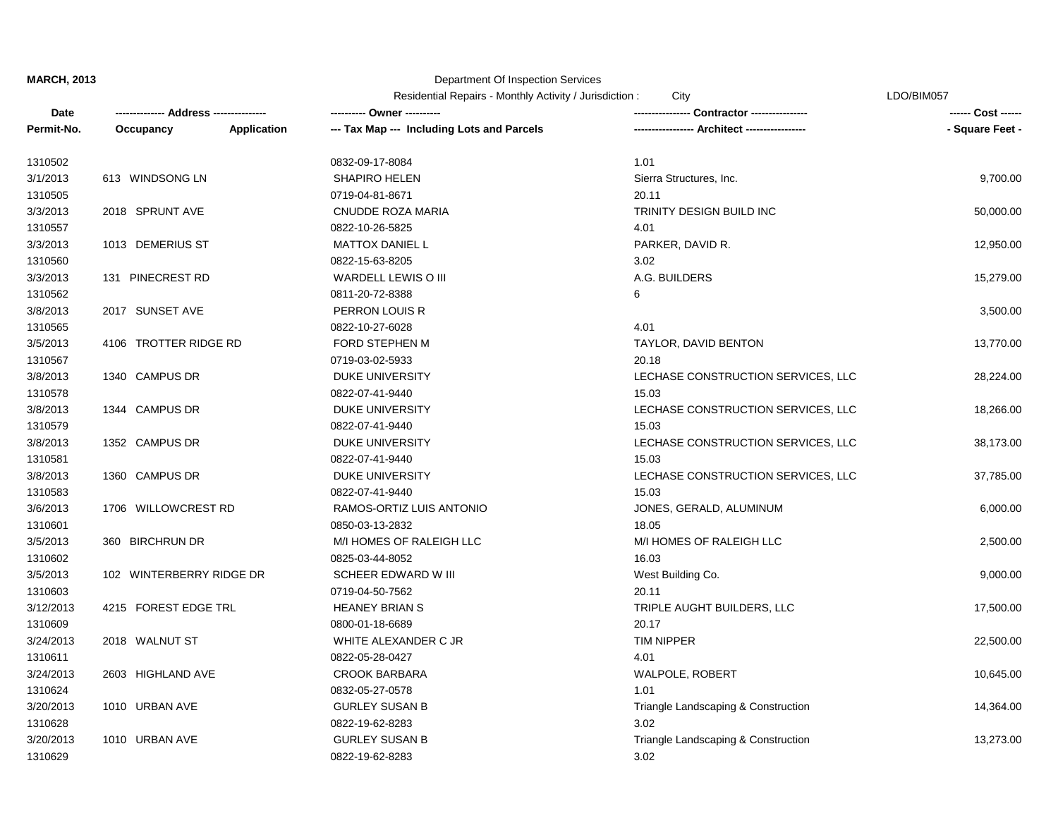## Department Of Inspection Services

Residential Repairs - Monthly Activity / Jurisdiction : City Changes Contained the CDO/BIM057

| Date       |                          |             | ---------- Owner ----------                |                                     | ------ Cost ------ |
|------------|--------------------------|-------------|--------------------------------------------|-------------------------------------|--------------------|
| Permit-No. | Occupancy                | Application | --- Tax Map --- Including Lots and Parcels | -- Architect -----------------      | - Square Feet -    |
| 1310502    |                          |             | 0832-09-17-8084                            | 1.01                                |                    |
| 3/1/2013   | 613 WINDSONG LN          |             | <b>SHAPIRO HELEN</b>                       | Sierra Structures, Inc.             | 9,700.00           |
| 1310505    |                          |             | 0719-04-81-8671                            | 20.11                               |                    |
| 3/3/2013   | 2018 SPRUNT AVE          |             | CNUDDE ROZA MARIA                          | TRINITY DESIGN BUILD INC            | 50,000.00          |
| 1310557    |                          |             | 0822-10-26-5825                            | 4.01                                |                    |
| 3/3/2013   | 1013 DEMERIUS ST         |             | <b>MATTOX DANIEL L</b>                     | PARKER, DAVID R.                    | 12,950.00          |
| 1310560    |                          |             | 0822-15-63-8205                            | 3.02                                |                    |
| 3/3/2013   | 131 PINECREST RD         |             | WARDELL LEWIS O III                        | A.G. BUILDERS                       | 15,279.00          |
| 1310562    |                          |             | 0811-20-72-8388                            | 6                                   |                    |
| 3/8/2013   | 2017 SUNSET AVE          |             | PERRON LOUIS R                             |                                     | 3,500.00           |
| 1310565    |                          |             | 0822-10-27-6028                            | 4.01                                |                    |
| 3/5/2013   | 4106 TROTTER RIDGE RD    |             | FORD STEPHEN M                             | TAYLOR, DAVID BENTON                | 13,770.00          |
| 1310567    |                          |             | 0719-03-02-5933                            | 20.18                               |                    |
| 3/8/2013   | 1340 CAMPUS DR           |             | DUKE UNIVERSITY                            | LECHASE CONSTRUCTION SERVICES, LLC  | 28,224.00          |
| 1310578    |                          |             | 0822-07-41-9440                            | 15.03                               |                    |
| 3/8/2013   | 1344 CAMPUS DR           |             | <b>DUKE UNIVERSITY</b>                     | LECHASE CONSTRUCTION SERVICES, LLC  | 18,266.00          |
| 1310579    |                          |             | 0822-07-41-9440                            | 15.03                               |                    |
| 3/8/2013   | 1352 CAMPUS DR           |             | <b>DUKE UNIVERSITY</b>                     | LECHASE CONSTRUCTION SERVICES, LLC  | 38,173.00          |
| 1310581    |                          |             | 0822-07-41-9440                            | 15.03                               |                    |
| 3/8/2013   | 1360 CAMPUS DR           |             | <b>DUKE UNIVERSITY</b>                     | LECHASE CONSTRUCTION SERVICES, LLC  | 37,785.00          |
| 1310583    |                          |             | 0822-07-41-9440                            | 15.03                               |                    |
| 3/6/2013   | 1706 WILLOWCREST RD      |             | RAMOS-ORTIZ LUIS ANTONIO                   | JONES, GERALD, ALUMINUM             | 6,000.00           |
| 1310601    |                          |             | 0850-03-13-2832                            | 18.05                               |                    |
| 3/5/2013   | 360 BIRCHRUN DR          |             | M/I HOMES OF RALEIGH LLC                   | M/I HOMES OF RALEIGH LLC            | 2,500.00           |
| 1310602    |                          |             | 0825-03-44-8052                            | 16.03                               |                    |
| 3/5/2013   | 102 WINTERBERRY RIDGE DR |             | SCHEER EDWARD W III                        | West Building Co.                   | 9,000.00           |
| 1310603    |                          |             | 0719-04-50-7562                            | 20.11                               |                    |
| 3/12/2013  | 4215 FOREST EDGE TRL     |             | <b>HEANEY BRIAN S</b>                      | TRIPLE AUGHT BUILDERS, LLC          | 17,500.00          |
| 1310609    |                          |             | 0800-01-18-6689                            | 20.17                               |                    |
| 3/24/2013  | 2018 WALNUT ST           |             | WHITE ALEXANDER C JR                       | <b>TIM NIPPER</b>                   | 22,500.00          |
| 1310611    |                          |             | 0822-05-28-0427                            | 4.01                                |                    |
| 3/24/2013  | 2603 HIGHLAND AVE        |             | <b>CROOK BARBARA</b>                       | WALPOLE, ROBERT                     | 10,645.00          |
| 1310624    |                          |             | 0832-05-27-0578                            | 1.01                                |                    |
| 3/20/2013  | 1010 URBAN AVE           |             | <b>GURLEY SUSAN B</b>                      | Triangle Landscaping & Construction | 14,364.00          |
| 1310628    |                          |             | 0822-19-62-8283                            | 3.02                                |                    |
| 3/20/2013  | 1010 URBAN AVE           |             | <b>GURLEY SUSAN B</b>                      | Triangle Landscaping & Construction | 13,273.00          |
| 1310629    |                          |             | 0822-19-62-8283                            | 3.02                                |                    |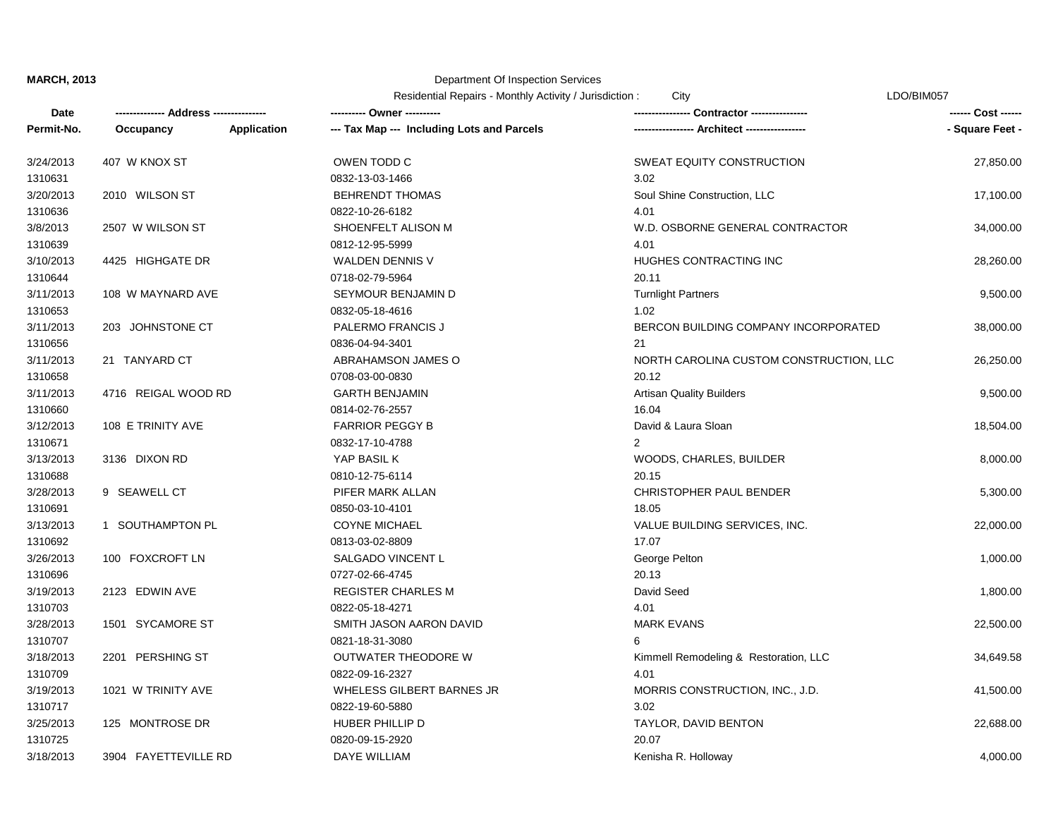## Department Of Inspection Services

Residential Repairs - Monthly Activity / Jurisdiction : City Changes Contained the CDO/BIM057

| Date       |                      |                    | ---------- Owner ----------                |                                         | ------ Cost ------ |
|------------|----------------------|--------------------|--------------------------------------------|-----------------------------------------|--------------------|
| Permit-No. | Occupancy            | <b>Application</b> | --- Tax Map --- Including Lots and Parcels |                                         | - Square Feet -    |
| 3/24/2013  | 407 W KNOX ST        |                    | OWEN TODD C                                | SWEAT EQUITY CONSTRUCTION               | 27,850.00          |
| 1310631    |                      |                    | 0832-13-03-1466                            | 3.02                                    |                    |
| 3/20/2013  | 2010 WILSON ST       |                    | <b>BEHRENDT THOMAS</b>                     | Soul Shine Construction, LLC            | 17,100.00          |
| 1310636    |                      |                    | 0822-10-26-6182                            | 4.01                                    |                    |
| 3/8/2013   | 2507 W WILSON ST     |                    | SHOENFELT ALISON M                         | W.D. OSBORNE GENERAL CONTRACTOR         | 34,000.00          |
| 1310639    |                      |                    | 0812-12-95-5999                            | 4.01                                    |                    |
| 3/10/2013  | 4425 HIGHGATE DR     |                    | <b>WALDEN DENNIS V</b>                     | HUGHES CONTRACTING INC                  | 28,260.00          |
| 1310644    |                      |                    | 0718-02-79-5964                            | 20.11                                   |                    |
| 3/11/2013  | 108 W MAYNARD AVE    |                    | SEYMOUR BENJAMIN D                         | <b>Turnlight Partners</b>               | 9,500.00           |
| 1310653    |                      |                    | 0832-05-18-4616                            | 1.02                                    |                    |
| 3/11/2013  | 203 JOHNSTONE CT     |                    | PALERMO FRANCIS J                          | BERCON BUILDING COMPANY INCORPORATED    | 38,000.00          |
| 1310656    |                      |                    | 0836-04-94-3401                            | 21                                      |                    |
| 3/11/2013  | 21 TANYARD CT        |                    | ABRAHAMSON JAMES O                         | NORTH CAROLINA CUSTOM CONSTRUCTION, LLC | 26,250.00          |
| 1310658    |                      |                    | 0708-03-00-0830                            | 20.12                                   |                    |
| 3/11/2013  | 4716 REIGAL WOOD RD  |                    | <b>GARTH BENJAMIN</b>                      | <b>Artisan Quality Builders</b>         | 9,500.00           |
| 1310660    |                      |                    | 0814-02-76-2557                            | 16.04                                   |                    |
| 3/12/2013  | 108 E TRINITY AVE    |                    | <b>FARRIOR PEGGY B</b>                     | David & Laura Sloan                     | 18,504.00          |
| 1310671    |                      |                    | 0832-17-10-4788                            | 2                                       |                    |
| 3/13/2013  | 3136 DIXON RD        |                    | YAP BASIL K                                | WOODS, CHARLES, BUILDER                 | 8,000.00           |
| 1310688    |                      |                    | 0810-12-75-6114                            | 20.15                                   |                    |
| 3/28/2013  | 9 SEAWELL CT         |                    | PIFER MARK ALLAN                           | CHRISTOPHER PAUL BENDER                 | 5,300.00           |
| 1310691    |                      |                    | 0850-03-10-4101                            | 18.05                                   |                    |
| 3/13/2013  | 1 SOUTHAMPTON PL     |                    | <b>COYNE MICHAEL</b>                       | VALUE BUILDING SERVICES, INC.           | 22,000.00          |
| 1310692    |                      |                    | 0813-03-02-8809                            | 17.07                                   |                    |
| 3/26/2013  | 100 FOXCROFT LN      |                    | SALGADO VINCENT L                          | George Pelton                           | 1,000.00           |
| 1310696    |                      |                    | 0727-02-66-4745                            | 20.13                                   |                    |
| 3/19/2013  | 2123 EDWIN AVE       |                    | <b>REGISTER CHARLES M</b>                  | David Seed                              | 1,800.00           |
| 1310703    |                      |                    | 0822-05-18-4271                            | 4.01                                    |                    |
| 3/28/2013  | 1501 SYCAMORE ST     |                    | SMITH JASON AARON DAVID                    | <b>MARK EVANS</b>                       | 22,500.00          |
| 1310707    |                      |                    | 0821-18-31-3080                            | 6                                       |                    |
| 3/18/2013  | 2201 PERSHING ST     |                    | OUTWATER THEODORE W                        | Kimmell Remodeling & Restoration, LLC   | 34,649.58          |
| 1310709    |                      |                    | 0822-09-16-2327                            | 4.01                                    |                    |
| 3/19/2013  | 1021 W TRINITY AVE   |                    | WHELESS GILBERT BARNES JR                  | MORRIS CONSTRUCTION, INC., J.D.         | 41,500.00          |
| 1310717    |                      |                    | 0822-19-60-5880                            | 3.02                                    |                    |
| 3/25/2013  | 125 MONTROSE DR      |                    | HUBER PHILLIP D                            | TAYLOR, DAVID BENTON                    | 22,688.00          |
| 1310725    |                      |                    | 0820-09-15-2920                            | 20.07                                   |                    |
| 3/18/2013  | 3904 FAYETTEVILLE RD |                    | <b>DAYE WILLIAM</b>                        | Kenisha R. Holloway                     | 4,000.00           |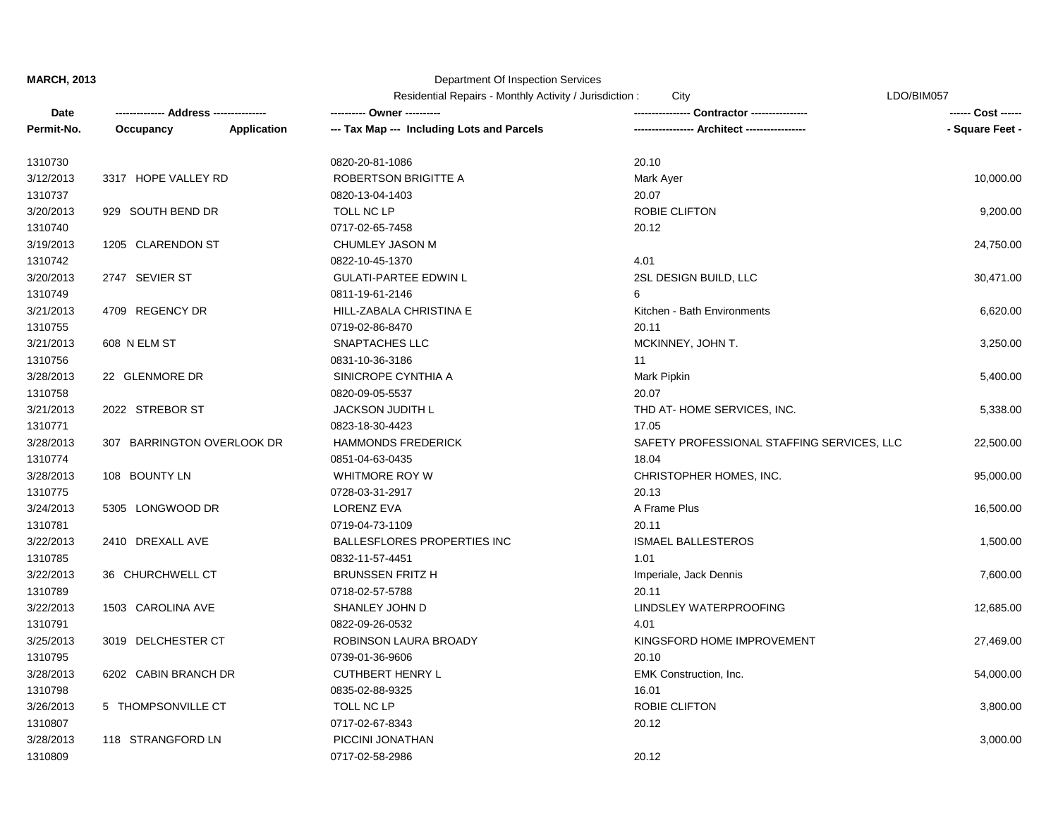## Department Of Inspection Services

|            |                            |                    |                                            | LDO/BIM057<br>Residential Repairs - Monthly Activity / Jurisdiction :<br>City |                    |
|------------|----------------------------|--------------------|--------------------------------------------|-------------------------------------------------------------------------------|--------------------|
| Date       | -- Address ----            |                    | ---------- Owner ----------                | <b>Contractor -----------</b>                                                 | ------ Cost ------ |
| Permit-No. | Occupancy                  | <b>Application</b> | --- Tax Map --- Including Lots and Parcels |                                                                               | - Square Feet -    |
| 1310730    |                            |                    | 0820-20-81-1086                            | 20.10                                                                         |                    |
| 3/12/2013  | 3317 HOPE VALLEY RD        |                    | ROBERTSON BRIGITTE A                       | Mark Ayer                                                                     | 10,000.00          |
| 1310737    |                            |                    | 0820-13-04-1403                            | 20.07                                                                         |                    |
| 3/20/2013  | 929 SOUTH BEND DR          |                    | TOLL NC LP                                 | <b>ROBIE CLIFTON</b>                                                          | 9,200.00           |
| 1310740    |                            |                    | 0717-02-65-7458                            | 20.12                                                                         |                    |
| 3/19/2013  | 1205 CLARENDON ST          |                    | CHUMLEY JASON M                            |                                                                               | 24,750.00          |
| 1310742    |                            |                    | 0822-10-45-1370                            | 4.01                                                                          |                    |
| 3/20/2013  | 2747 SEVIER ST             |                    | <b>GULATI-PARTEE EDWIN L</b>               | 2SL DESIGN BUILD, LLC                                                         | 30,471.00          |
| 1310749    |                            |                    | 0811-19-61-2146                            | 6                                                                             |                    |
| 3/21/2013  | 4709 REGENCY DR            |                    | HILL-ZABALA CHRISTINA E                    | Kitchen - Bath Environments                                                   | 6,620.00           |
| 1310755    |                            |                    | 0719-02-86-8470                            | 20.11                                                                         |                    |
| 3/21/2013  | 608 N ELM ST               |                    | <b>SNAPTACHES LLC</b>                      | MCKINNEY, JOHN T.                                                             | 3,250.00           |
| 1310756    |                            |                    | 0831-10-36-3186                            | 11                                                                            |                    |
| 3/28/2013  | 22 GLENMORE DR             |                    | SINICROPE CYNTHIA A                        | Mark Pipkin                                                                   | 5,400.00           |
| 1310758    |                            |                    | 0820-09-05-5537                            | 20.07                                                                         |                    |
| 3/21/2013  | 2022 STREBOR ST            |                    | <b>JACKSON JUDITH L</b>                    | THD AT-HOME SERVICES, INC.                                                    | 5,338.00           |
| 1310771    |                            |                    | 0823-18-30-4423                            | 17.05                                                                         |                    |
| 3/28/2013  | 307 BARRINGTON OVERLOOK DR |                    | <b>HAMMONDS FREDERICK</b>                  | SAFETY PROFESSIONAL STAFFING SERVICES, LLC                                    | 22,500.00          |
| 1310774    |                            |                    | 0851-04-63-0435                            | 18.04                                                                         |                    |
| 3/28/2013  | 108 BOUNTY LN              |                    | WHITMORE ROY W                             | CHRISTOPHER HOMES, INC.                                                       | 95,000.00          |
| 1310775    |                            |                    | 0728-03-31-2917                            | 20.13                                                                         |                    |
| 3/24/2013  | 5305 LONGWOOD DR           |                    | <b>LORENZ EVA</b>                          | A Frame Plus                                                                  | 16,500.00          |
| 1310781    |                            |                    | 0719-04-73-1109                            | 20.11                                                                         |                    |
| 3/22/2013  | 2410 DREXALL AVE           |                    | <b>BALLESFLORES PROPERTIES INC</b>         | <b>ISMAEL BALLESTEROS</b>                                                     | 1,500.00           |
| 1310785    |                            |                    | 0832-11-57-4451                            | 1.01                                                                          |                    |
| 3/22/2013  | 36 CHURCHWELL CT           |                    | <b>BRUNSSEN FRITZ H</b>                    | Imperiale, Jack Dennis                                                        | 7,600.00           |
| 1310789    |                            |                    | 0718-02-57-5788                            | 20.11                                                                         |                    |
| 3/22/2013  | 1503 CAROLINA AVE          |                    | SHANLEY JOHN D                             | LINDSLEY WATERPROOFING                                                        | 12,685.00          |
| 1310791    |                            |                    | 0822-09-26-0532                            | 4.01                                                                          |                    |
| 3/25/2013  | 3019 DELCHESTER CT         |                    | ROBINSON LAURA BROADY                      | KINGSFORD HOME IMPROVEMENT                                                    | 27,469.00          |
| 1310795    |                            |                    | 0739-01-36-9606                            | 20.10                                                                         |                    |
| 3/28/2013  | 6202 CABIN BRANCH DR       |                    | <b>CUTHBERT HENRY L</b>                    | <b>EMK Construction, Inc.</b>                                                 | 54,000.00          |
| 1310798    |                            |                    | 0835-02-88-9325                            | 16.01                                                                         |                    |
| 3/26/2013  | 5 THOMPSONVILLE CT         |                    | TOLL NC LP                                 | <b>ROBIE CLIFTON</b>                                                          | 3,800.00           |
| 1310807    |                            |                    | 0717-02-67-8343                            | 20.12                                                                         |                    |
| 3/28/2013  | 118 STRANGFORD LN          |                    | PICCINI JONATHAN                           |                                                                               | 3,000.00           |
| 1310809    |                            |                    | 0717-02-58-2986                            | 20.12                                                                         |                    |